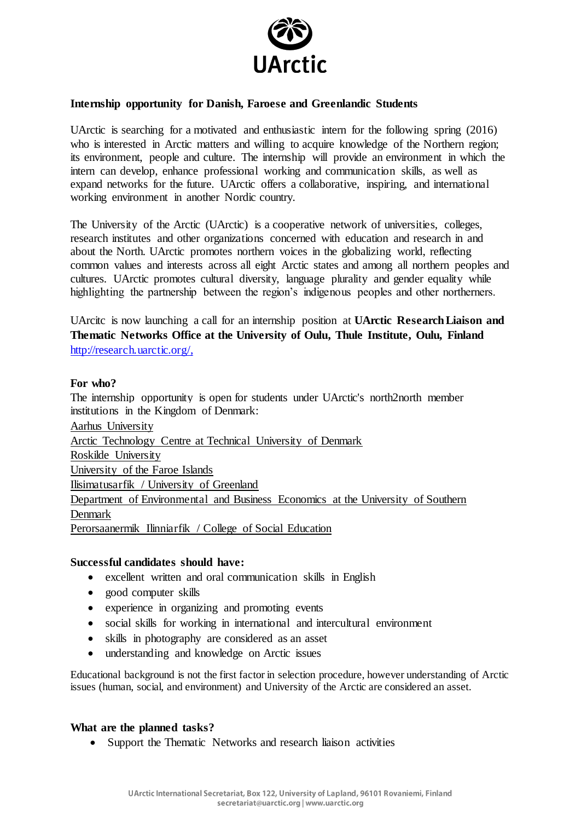

# **Internship opportunity for Danish, Faroese and Greenlandic Students**

UArctic is searching for a motivated and enthusiastic intern for the following spring (2016) who is interested in Arctic matters and willing to acquire knowledge of the Northern region; its environment, people and culture. The internship will provide an environment in which the intern can develop, enhance professional working and communication skills, as well as expand networks for the future. UArctic offers a collaborative, inspiring, and international working environment in another Nordic country.

The University of the Arctic (UArctic) is a cooperative network of universities, colleges, research institutes and other organizations concerned with education and research in and about the North. UArctic promotes northern voices in the globalizing world, reflecting common values and interests across all eight Arctic states and among all northern peoples and cultures. UArctic promotes cultural diversity, language plurality and gender equality while highlighting the partnership between the region's indigenous peoples and other northerners.

UArcitc is now launching a call for an internship position at **UArctic Research Liaison and Thematic Networks Office at the University of Oulu, Thule Institute, Oulu, Finland** [http://research.uarctic.org/,](http://research.uarctic.org/) 

### **For who?**

The internship opportunity is open for students under UArctic's north2north member institutions in the Kingdom of Denmark:

[Aarhus University](http://education.uarctic.org/universities/denmark/8945/aarhus-university) [Arctic Technology Centre at Technical University of Denmark](http://education.uarctic.org/universities/denmark/8459/arctic-technology-centre-technical-university-of-denmark) [Roskilde University](http://education.uarctic.org/universities/denmark/8697/roskilde-university) [University of the Faroe Islands](http://education.uarctic.org/universities/faroe-islands/8898/university-of-the-faroe-islands) [Ilisimatusarfik / University of Greenland](http://education.uarctic.org/universities/greenland/8475/ilisimatusarfik-university-of-greenland) [Department of Environmental and Business Economics at the University of Southern](http://education.uarctic.org/universities/denmark/8866/department-of-environmental-and-business-economics-university-of-southern-denmark)  [Denmark](http://education.uarctic.org/universities/denmark/8866/department-of-environmental-and-business-economics-university-of-southern-denmark) [Perorsaanermik Ilinniarfik / College of Social Education](http://www.uarctic.org/member-profiles/greenland/11213/perorsaanermik-ilinniarfik-college-of-social-education)

#### **Successful candidates should have:**

- excellent written and oral communication skills in English
- good computer skills
- experience in organizing and promoting events
- social skills for working in international and intercultural environment
- skills in photography are considered as an asset
- understanding and knowledge on Arctic issues

Educational background is not the first factor in selection procedure, however understanding of Arctic issues (human, social, and environment) and University of the Arctic are considered an asset.

#### **What are the planned tasks?**

• Support the Thematic Networks and research liaison activities